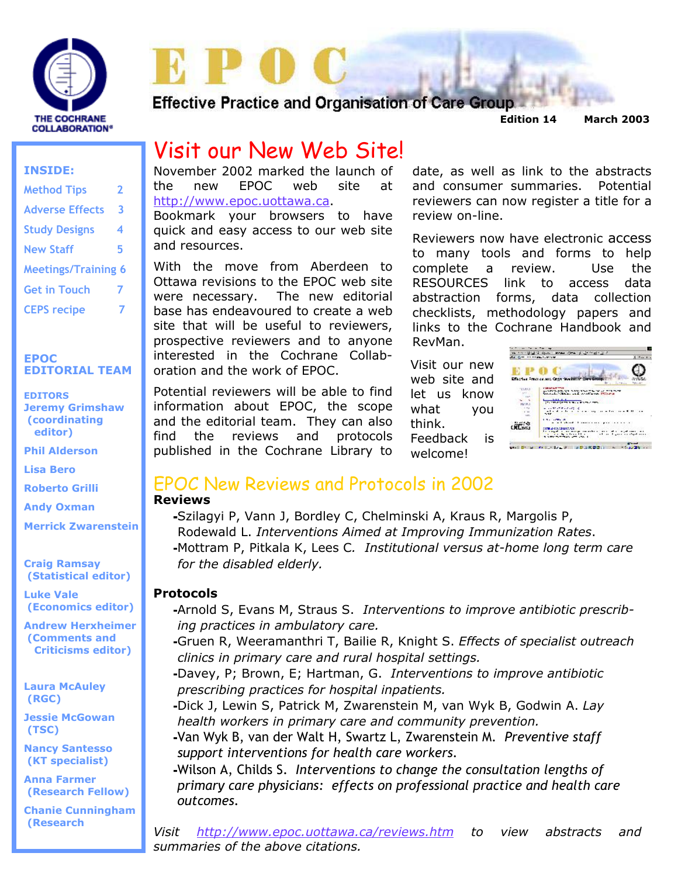

**Effective Practice and Organisation of Care Group.** 

 **Edition 14 March 2003** 

# Visit our New Web Site!

November 2002 marked the launch of the new EPOC web site at http://www.epoc.uottawa.ca.

Bookmark your browsers to have quick and easy access to our web site and resources.

With the move from Aberdeen to Ottawa revisions to the EPOC web site were necessary. The new editorial base has endeavoured to create a web site that will be useful to reviewers, prospective reviewers and to anyone interested in the Cochrane Collaboration and the work of EPOC.

Potential reviewers will be able to find information about EPOC, the scope and the editorial team. They can also find the reviews and protocols published in the Cochrane Library to

date, as well as link to the abstracts and consumer summaries. Potential reviewers can now register a title for a review on-line.

Reviewers now have electronic access to many tools and forms to help complete a review. Use the RESOURCES link to access data abstraction forms, data collection checklists, methodology papers and links to the Cochrane Handbook and RevMan.

Visit our new web site and let us know what you think. Feedback is welcome!



### EPOC New Reviews and Protocols in 2002

#### **Reviews**

-Szilagyi P, Vann J, Bordley C, Chelminski A, Kraus R, Margolis P, Rodewald L. *Interventions Aimed at Improving Immunization Rates*. -Mottram P, Pitkala K, Lees C*. Institutional versus at-home long term care for the disabled elderly.* 

#### **Protocols**

- -Arnold S, Evans M, Straus S. *Interventions to improve antibiotic prescrib ing practices in ambulatory care.*
- -Gruen R, Weeramanthri T, Bailie R, Knight S. *Effects of specialist outreach clinics in primary care and rural hospital settings.*
- -Davey, P; Brown, E; Hartman, G. *Interventions to improve antibiotic prescribing practices for hospital inpatients.*
- -Dick J, Lewin S, Patrick M, Zwarenstein M, van Wyk B, Godwin A. *Lay health workers in primary care and community prevention.*
- -Van Wyk B, van der Walt H, Swartz L, Zwarenstein M. *Preventive staff support interventions for health care workers.*

-Wilson A, Childs S. *Interventions to change the consultation lengths of primary care physicians: effects on professional practice and health care outcomes.* 

*Visit http://www.epoc.uottawa.ca/reviews.htm to view abstracts and summaries of the above citations.*

#### **INSIDE:**

| <b>Method Tips</b>         | 2 |
|----------------------------|---|
| <b>Adverse Effects</b>     | 3 |
| <b>Study Designs</b>       | 4 |
| <b>New Staff</b>           | 5 |
| <b>Meetings/Training 6</b> |   |
| <b>Get in Touch</b>        | 7 |
| <b>CEPS recipe</b>         |   |

#### **EPOC EDITORIAL TEAM**

**EDITORS Jeremy Grimshaw (coordinating editor)** 

**Phil Alderson** 

**Lisa Bero** 

**Roberto Grilli** 

**Andy Oxman** 

**Merrick Zwarenstein** 

**Craig Ramsay (Statistical editor)** 

**Luke Vale (Economics editor)** 

**Andrew Herxheimer (Comments and Criticisms editor)** 

**Laura McAuley (RGC)** 

**Jessie McGowan (TSC)** 

**Nancy Santesso (KT specialist)** 

**Anna Farmer (Research Fellow)** 

**Chanie Cunningham (Research**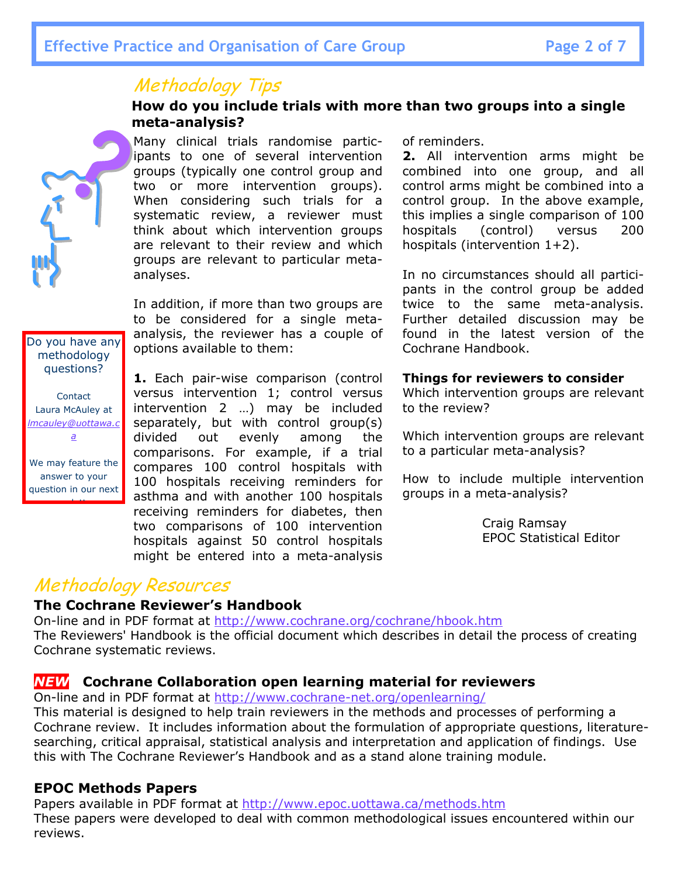# Methodology Tips

#### **How do you include trials with more than two groups into a single meta-analysis?**



Many clinical trials randomise participants to one of several intervention groups (typically one control group and two or more intervention groups). When considering such trials for a systematic review, a reviewer must think about which intervention groups are relevant to their review and which groups are relevant to particular metaanalyses.

In addition, if more than two groups are to be considered for a single metaanalysis, the reviewer has a couple of options available to them:

**1.** Each pair-wise comparison (control versus intervention 1; control versus intervention 2 …) may be included separately, but with control group(s) divided out evenly among the comparisons. For example, if a trial compares 100 control hospitals with 100 hospitals receiving reminders for asthma and with another 100 hospitals receiving reminders for diabetes, then two comparisons of 100 intervention hospitals against 50 control hospitals might be entered into a meta-analysis of reminders.

**2.** All intervention arms might be combined into one group, and all control arms might be combined into a control group. In the above example, this implies a single comparison of 100 hospitals (control) versus 200 hospitals (intervention 1+2).

In no circumstances should all participants in the control group be added twice to the same meta-analysis. Further detailed discussion may be found in the latest version of the Cochrane Handbook.

#### **Things for reviewers to consider**

Which intervention groups are relevant to the review?

Which intervention groups are relevant to a particular meta-analysis?

How to include multiple intervention groups in a meta-analysis?

> Craig Ramsay EPOC Statistical Editor

# Methodology Resources

#### **The Cochrane Reviewer's Handbook**

On-line and in PDF format at http://www.cochrane.org/cochrane/hbook.htm The Reviewers' Handbook is the official document which describes in detail the process of creating Cochrane systematic reviews.

### *NEW* **Cochrane Collaboration open learning material for reviewers**

On-line and in PDF format at http://www.cochrane-net.org/openlearning/

This material is designed to help train reviewers in the methods and processes of performing a Cochrane review. It includes information about the formulation of appropriate questions, literaturesearching, critical appraisal, statistical analysis and interpretation and application of findings. Use this with The Cochrane Reviewer's Handbook and as a stand alone training module.

#### **EPOC Methods Papers**

Papers available in PDF format at http://www.epoc.uottawa.ca/methods.htm These papers were developed to deal with common methodological issues encountered within our reviews.

Do you have any methodology questions?

**Contact** Laura McAuley at *lmcauley@uottawa.c a*

We may feature the answer to your question in our next

t<mark>ter</mark>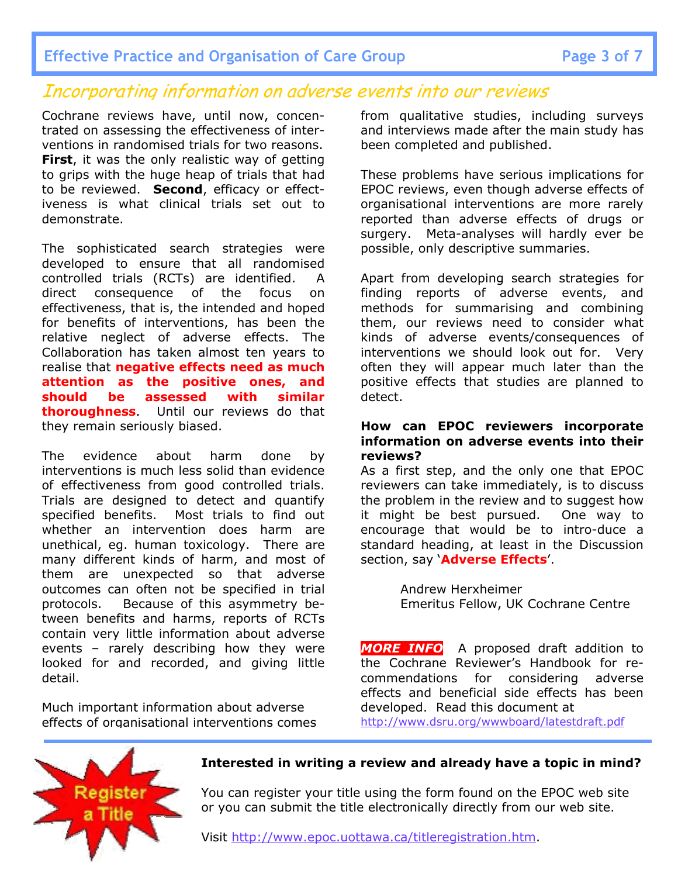### Incorporating information on adverse events into our reviews

Cochrane reviews have, until now, concentrated on assessing the effectiveness of interventions in randomised trials for two reasons. **First**, it was the only realistic way of getting to grips with the huge heap of trials that had to be reviewed. **Second**, efficacy or effectiveness is what clinical trials set out to demonstrate.

The sophisticated search strategies were developed to ensure that all randomised controlled trials (RCTs) are identified. A direct consequence of the focus on effectiveness, that is, the intended and hoped for benefits of interventions, has been the relative neglect of adverse effects. The Collaboration has taken almost ten years to realise that **negative effects need as much attention as the positive ones, and should be assessed with similar thoroughness**. Until our reviews do that they remain seriously biased.

The evidence about harm done by interventions is much less solid than evidence of effectiveness from good controlled trials. Trials are designed to detect and quantify specified benefits. Most trials to find out whether an intervention does harm are unethical, eg. human toxicology. There are many different kinds of harm, and most of them are unexpected so that adverse outcomes can often not be specified in trial protocols. Because of this asymmetry between benefits and harms, reports of RCTs contain very little information about adverse events – rarely describing how they were looked for and recorded, and giving little detail.

Much important information about adverse effects of organisational interventions comes from qualitative studies, including surveys and interviews made after the main study has been completed and published.

These problems have serious implications for EPOC reviews, even though adverse effects of organisational interventions are more rarely reported than adverse effects of drugs or surgery. Meta-analyses will hardly ever be possible, only descriptive summaries.

Apart from developing search strategies for finding reports of adverse events, and methods for summarising and combining them, our reviews need to consider what kinds of adverse events/consequences of interventions we should look out for. Very often they will appear much later than the positive effects that studies are planned to detect.

#### **How can EPOC reviewers incorporate information on adverse events into their reviews?**

As a first step, and the only one that EPOC reviewers can take immediately, is to discuss the problem in the review and to suggest how it might be best pursued. One way to encourage that would be to intro-duce a standard heading, at least in the Discussion section, say '**Adverse Effects**'.

> Andrew Herxheimer Emeritus Fellow, UK Cochrane Centre

*MORE INFO* A proposed draft addition to the Cochrane Reviewer's Handbook for recommendations for considering adverse effects and beneficial side effects has been developed. Read this document at http://www.dsru.org/wwwboard/latestdraft.pdf



#### **Interested in writing a review and already have a topic in mind?**

You can register your title using the form found on the EPOC web site or you can submit the title electronically directly from our web site.

Visit http://www.epoc.uottawa.ca/titleregistration.htm.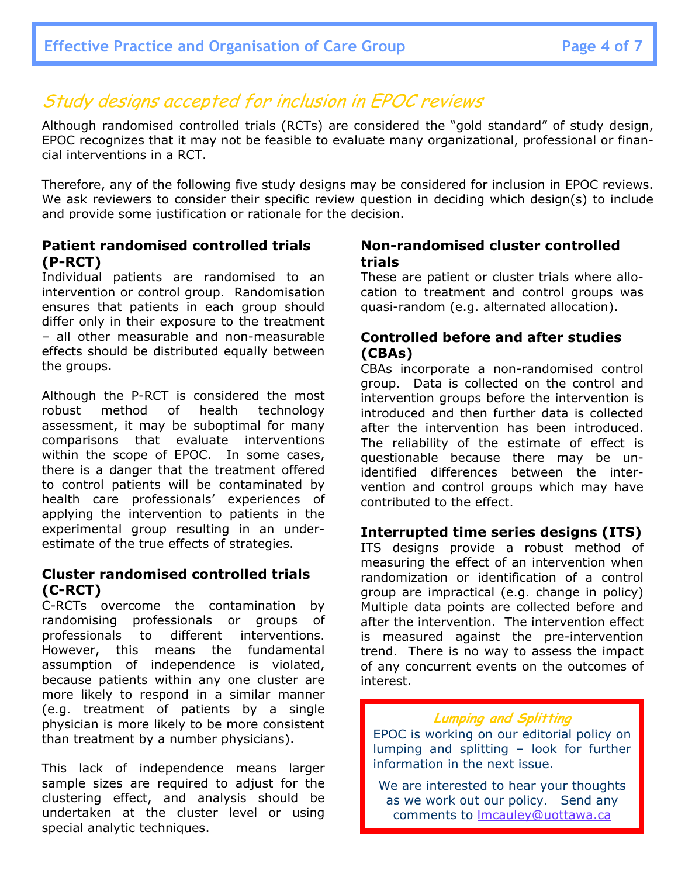# Study designs accepted for inclusion in EPOC reviews

Although randomised controlled trials (RCTs) are considered the "gold standard" of study design, EPOC recognizes that it may not be feasible to evaluate many organizational, professional or financial interventions in a RCT.

Therefore, any of the following five study designs may be considered for inclusion in EPOC reviews. We ask reviewers to consider their specific review question in deciding which design(s) to include and provide some justification or rationale for the decision.

#### **Patient randomised controlled trials (P-RCT)**

Individual patients are randomised to an intervention or control group. Randomisation ensures that patients in each group should differ only in their exposure to the treatment – all other measurable and non-measurable effects should be distributed equally between the groups.

Although the P-RCT is considered the most robust method of health technology assessment, it may be suboptimal for many comparisons that evaluate interventions within the scope of EPOC. In some cases, there is a danger that the treatment offered to control patients will be contaminated by health care professionals' experiences of applying the intervention to patients in the experimental group resulting in an underestimate of the true effects of strategies.

### **Cluster randomised controlled trials (C-RCT)**

C-RCTs overcome the contamination by randomising professionals or groups of professionals to different interventions. However, this means the fundamental assumption of independence is violated, because patients within any one cluster are more likely to respond in a similar manner (e.g. treatment of patients by a single physician is more likely to be more consistent than treatment by a number physicians).

This lack of independence means larger sample sizes are required to adjust for the clustering effect, and analysis should be undertaken at the cluster level or using special analytic techniques.

#### **Non-randomised cluster controlled trials**

These are patient or cluster trials where allocation to treatment and control groups was quasi-random (e.g. alternated allocation).

### **Controlled before and after studies (CBAs)**

CBAs incorporate a non-randomised control group. Data is collected on the control and intervention groups before the intervention is introduced and then further data is collected after the intervention has been introduced. The reliability of the estimate of effect is questionable because there may be unidentified differences between the intervention and control groups which may have contributed to the effect.

#### **Interrupted time series designs (ITS)**

ITS designs provide a robust method of measuring the effect of an intervention when randomization or identification of a control group are impractical (e.g. change in policy) Multiple data points are collected before and after the intervention. The intervention effect is measured against the pre-intervention trend. There is no way to assess the impact of any concurrent events on the outcomes of interest.

#### **Lumping and Splitting**

EPOC is working on our editorial policy on lumping and splitting – look for further information in the next issue.

We are interested to hear your thoughts as we work out our policy. Send any comments to lmcauley@uottawa.ca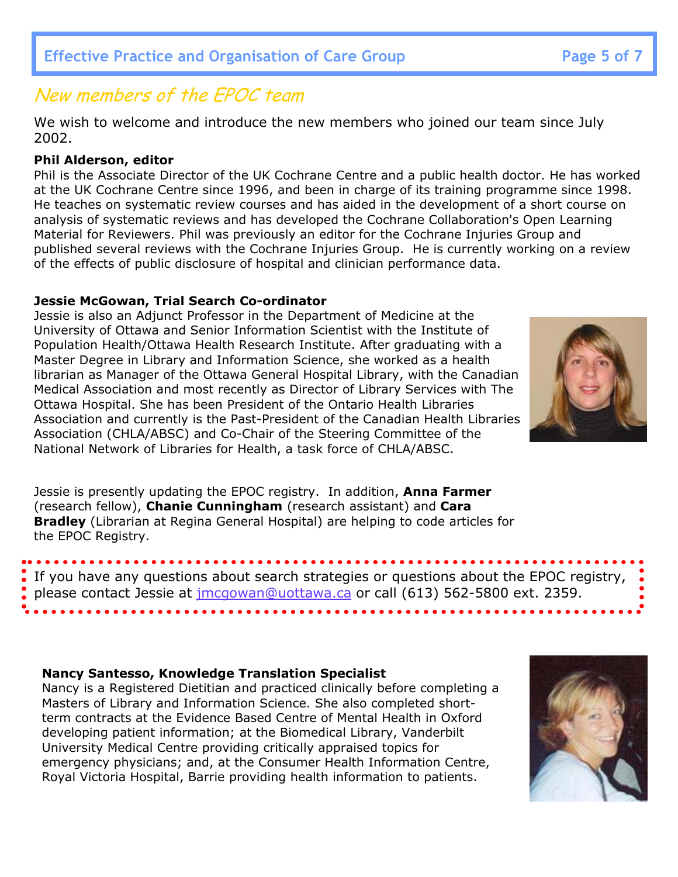# New members of the EPOC team

We wish to welcome and introduce the new members who joined our team since July 2002.

### **Phil Alderson, editor**

Phil is the Associate Director of the UK Cochrane Centre and a public health doctor. He has worked at the UK Cochrane Centre since 1996, and been in charge of its training programme since 1998. He teaches on systematic review courses and has aided in the development of a short course on analysis of systematic reviews and has developed the Cochrane Collaboration's Open Learning Material for Reviewers. Phil was previously an editor for the Cochrane Injuries Group and published several reviews with the Cochrane Injuries Group. He is currently working on a review of the effects of public disclosure of hospital and clinician performance data.

### **Jessie McGowan, Trial Search Co-ordinator**

Jessie is also an Adjunct Professor in the Department of Medicine at the University of Ottawa and Senior Information Scientist with the Institute of Population Health/Ottawa Health Research Institute. After graduating with a Master Degree in Library and Information Science, she worked as a health librarian as Manager of the Ottawa General Hospital Library, with the Canadian Medical Association and most recently as Director of Library Services with The Ottawa Hospital. She has been President of the Ontario Health Libraries Association and currently is the Past-President of the Canadian Health Libraries Association (CHLA/ABSC) and Co-Chair of the Steering Committee of the National Network of Libraries for Health, a task force of CHLA/ABSC.

Jessie is presently updating the EPOC registry. In addition, **Anna Farmer** (research fellow), **Chanie Cunningham** (research assistant) and **Cara Bradley** (Librarian at Regina General Hospital) are helping to code articles for the EPOC Registry.

If you have any questions about search strategies or questions about the EPOC registry, please contact Jessie at jmcgowan@uottawa.ca or call (613) 562-5800 ext. 2359.

### **Nancy Santesso, Knowledge Translation Specialist**

Nancy is a Registered Dietitian and practiced clinically before completing a Masters of Library and Information Science. She also completed shortterm contracts at the Evidence Based Centre of Mental Health in Oxford developing patient information; at the Biomedical Library, Vanderbilt University Medical Centre providing critically appraised topics for emergency physicians; and, at the Consumer Health Information Centre, Royal Victoria Hospital, Barrie providing health information to patients.



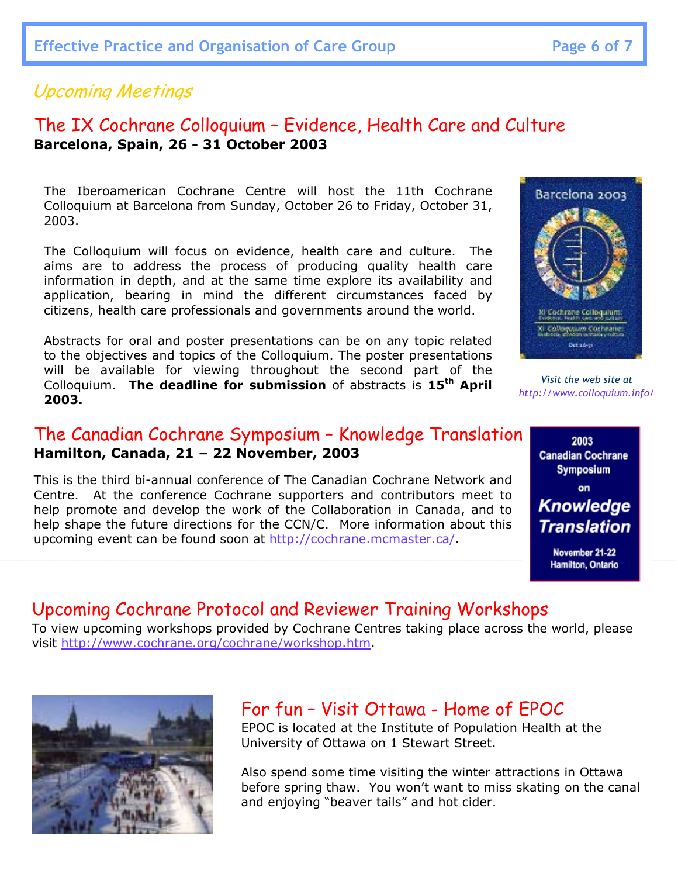### Upcoming Meetings

### The IX Cochrane Colloquium – Evidence, Health Care and Culture **Barcelona, Spain, 26 - 31 October 2003**

The Iberoamerican Cochrane Centre will host the 11th Cochrane Colloquium at Barcelona from Sunday, October 26 to Friday, October 31, 2003.

The Colloquium will focus on evidence, health care and culture. The aims are to address the process of producing quality health care information in depth, and at the same time explore its availability and application, bearing in mind the different circumstances faced by citizens, health care professionals and governments around the world.

Abstracts for oral and poster presentations can be on any topic related to the objectives and topics of the Colloquium. The poster presentations will be available for viewing throughout the second part of the Colloquium. **The deadline for submission** of abstracts is **15th April 2003.**

### The Canadian Cochrane Symposium – Knowledge Translation **Hamilton, Canada, 21 – 22 November, 2003**

This is the third bi-annual conference of The Canadian Cochrane Network and Centre. At the conference Cochrane supporters and contributors meet to help promote and develop the work of the Collaboration in Canada, and to help shape the future directions for the CCN/C. More information about this upcoming event can be found soon at http://cochrane.mcmaster.ca/.

### Upcoming Cochrane Protocol and Reviewer Training Workshops

To view upcoming workshops provided by Cochrane Centres taking place across the world, please visit http://www.cochrane.org/cochrane/workshop.htm.



# For fun – Visit Ottawa - Home of EPOC

EPOC is located at the Institute of Population Health at the University of Ottawa on 1 Stewart Street.

Also spend some time visiting the winter attractions in Ottawa before spring thaw. You won't want to miss skating on the canal and enjoying "beaver tails" and hot cider.



*Visit the web site at http://www.colloquium.info/*

> 2003 **Canadian Cochrane Symposium** on **Knowledge Translation**

November 21-22 Hamilton, Ontario